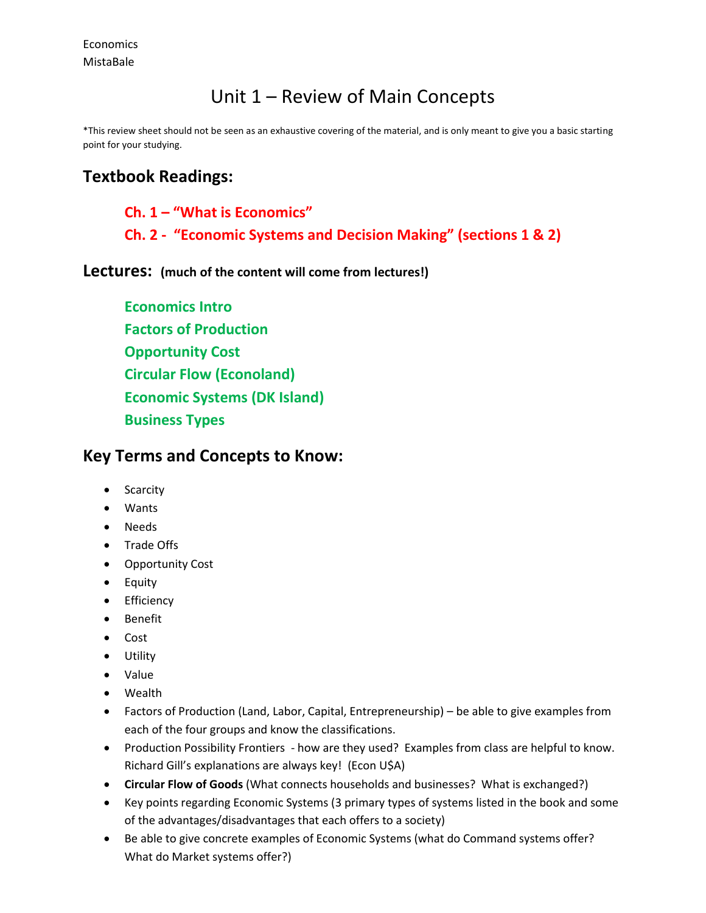## Unit 1 – Review of Main Concepts

\*This review sheet should not be seen as an exhaustive covering of the material, and is only meant to give you a basic starting point for your studying.

## **Textbook Readings:**

**Ch. 1 – "What is Economics"**

**Ch. 2 - "Economic Systems and Decision Making" (sections 1 & 2)**

**Lectures: (much of the content will come from lectures!)**

**Economics Intro Factors of Production Opportunity Cost Circular Flow (Econoland) Economic Systems (DK Island) Business Types**

## **Key Terms and Concepts to Know:**

- Scarcity
- Wants
- Needs
- Trade Offs
- Opportunity Cost
- Equity
- **•** Efficiency
- Benefit
- Cost
- Utility
- Value
- Wealth
- Factors of Production (Land, Labor, Capital, Entrepreneurship) be able to give examples from each of the four groups and know the classifications.
- Production Possibility Frontiers how are they used? Examples from class are helpful to know. Richard Gill's explanations are always key! (Econ U\$A)
- **Circular Flow of Goods** (What connects households and businesses? What is exchanged?)
- Key points regarding Economic Systems (3 primary types of systems listed in the book and some of the advantages/disadvantages that each offers to a society)
- Be able to give concrete examples of Economic Systems (what do Command systems offer? What do Market systems offer?)